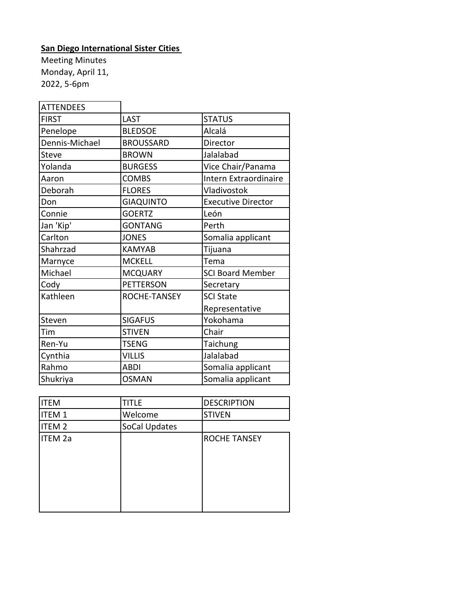## **San Diego International Sister Cities**

Meeting Minutes Monday, April 11, 2022, 5-6pm

| <b>ATTENDEES</b> |                  |                           |
|------------------|------------------|---------------------------|
| <b>FIRST</b>     | <b>LAST</b>      | <b>STATUS</b>             |
| Penelope         | <b>BLEDSOE</b>   | Alcalá                    |
| Dennis-Michael   | <b>BROUSSARD</b> | Director                  |
| <b>Steve</b>     | <b>BROWN</b>     | Jalalabad                 |
| Yolanda          | <b>BURGESS</b>   | Vice Chair/Panama         |
| Aaron            | <b>COMBS</b>     | Intern Extraordinaire     |
| Deborah          | <b>FLORES</b>    | Vladivostok               |
| Don              | <b>GIAQUINTO</b> | <b>Executive Director</b> |
| Connie           | <b>GOERTZ</b>    | León                      |
| Jan 'Kip'        | <b>GONTANG</b>   | Perth                     |
| Carlton          | <b>JONES</b>     | Somalia applicant         |
| Shahrzad         | <b>KAMYAB</b>    | Tijuana                   |
| Marnyce          | <b>MCKELL</b>    | Tema                      |
| Michael          | <b>MCQUARY</b>   | <b>SCI Board Member</b>   |
| Cody             | <b>PETTERSON</b> | Secretary                 |
| Kathleen         | ROCHE-TANSEY     | <b>SCI State</b>          |
|                  |                  | Representative            |
| Steven           | <b>SIGAFUS</b>   | Yokohama                  |
| Tim              | <b>STIVEN</b>    | Chair                     |
| Ren-Yu           | <b>TSENG</b>     | Taichung                  |
| Cynthia          | <b>VILLIS</b>    | Jalalabad                 |
| Rahmo            | <b>ABDI</b>      | Somalia applicant         |
| Shukriya         | <b>OSMAN</b>     | Somalia applicant         |

| <b>ITEM</b>    | <b>TITLE</b>  | <b>DESCRIPTION</b>  |
|----------------|---------------|---------------------|
| <b>ITEM1</b>   | Welcome       | <b>STIVEN</b>       |
| <b>ITEM 2</b>  | SoCal Updates |                     |
| <b>ITEM 2a</b> |               | <b>ROCHE TANSEY</b> |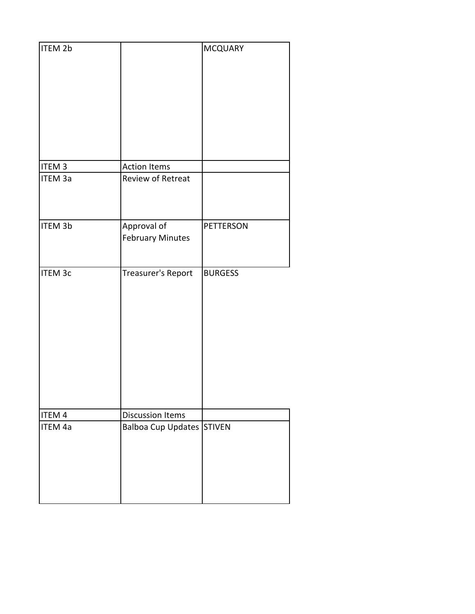| ITEM 2b           |                                  | <b>MCQUARY</b>   |
|-------------------|----------------------------------|------------------|
|                   |                                  |                  |
|                   |                                  |                  |
|                   |                                  |                  |
|                   |                                  |                  |
|                   |                                  |                  |
|                   |                                  |                  |
|                   |                                  |                  |
| ITEM <sub>3</sub> | <b>Action Items</b>              |                  |
| ITEM 3a           | Review of Retreat                |                  |
|                   |                                  |                  |
|                   |                                  |                  |
|                   |                                  |                  |
| <b>ITEM 3b</b>    | Approval of                      | <b>PETTERSON</b> |
|                   | <b>February Minutes</b>          |                  |
|                   |                                  |                  |
| <b>ITEM 3c</b>    | Treasurer's Report               | <b>BURGESS</b>   |
|                   |                                  |                  |
|                   |                                  |                  |
|                   |                                  |                  |
|                   |                                  |                  |
|                   |                                  |                  |
|                   |                                  |                  |
|                   |                                  |                  |
|                   |                                  |                  |
|                   |                                  |                  |
|                   |                                  |                  |
| ITEM 4            | <b>Discussion Items</b>          |                  |
| ITEM 4a           | <b>Balboa Cup Updates STIVEN</b> |                  |
|                   |                                  |                  |
|                   |                                  |                  |
|                   |                                  |                  |
|                   |                                  |                  |
|                   |                                  |                  |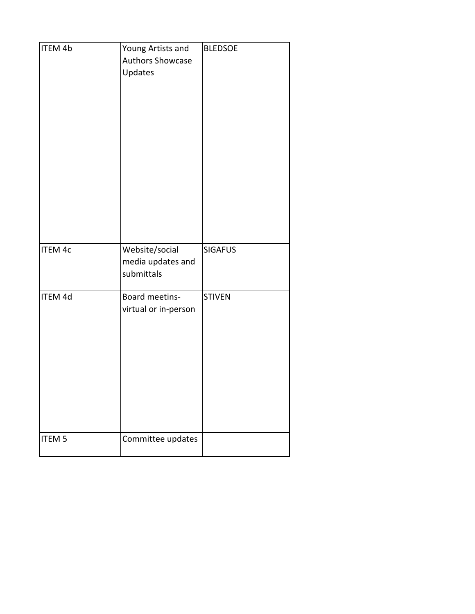| <b>ITEM 4b</b> | Young Artists and<br>Authors Showcase<br>Updates  | <b>BLEDSOE</b> |
|----------------|---------------------------------------------------|----------------|
| <b>ITEM 4c</b> | Website/social<br>media updates and<br>submittals | <b>SIGAFUS</b> |
| ITEM 4d        | Board meetins-<br>virtual or in-person            | <b>STIVEN</b>  |
| <b>ITEM 5</b>  | Committee updates                                 |                |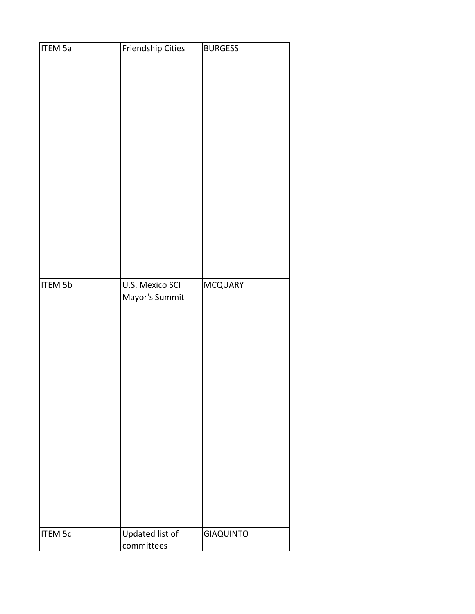| <b>ITEM 5a</b> | Friendship Cities                 | <b>BURGESS</b>   |
|----------------|-----------------------------------|------------------|
| <b>ITEM 5b</b> | U.S. Mexico SCI<br>Mayor's Summit | <b>MCQUARY</b>   |
| <b>ITEM 5c</b> | Updated list of<br>committees     | <b>GIAQUINTO</b> |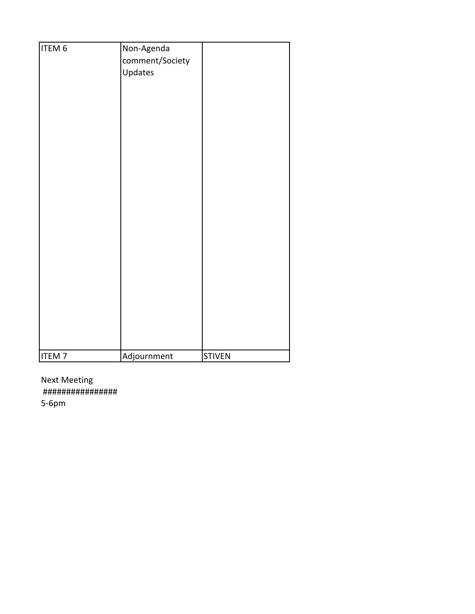| ITEM 6       | Non-Agenda      |               |
|--------------|-----------------|---------------|
|              | comment/Society |               |
|              | Updates         |               |
|              |                 |               |
|              |                 |               |
|              |                 |               |
|              |                 |               |
|              |                 |               |
|              |                 |               |
|              |                 |               |
|              |                 |               |
|              |                 |               |
|              |                 |               |
|              |                 |               |
|              |                 |               |
|              |                 |               |
|              |                 |               |
|              |                 |               |
|              |                 |               |
|              |                 |               |
|              |                 |               |
|              |                 |               |
|              |                 |               |
|              |                 |               |
|              |                 |               |
|              |                 |               |
|              |                 |               |
|              |                 |               |
| <b>ITEM7</b> | Adjournment     | <b>STIVEN</b> |

Next Meeting ################

5-6pm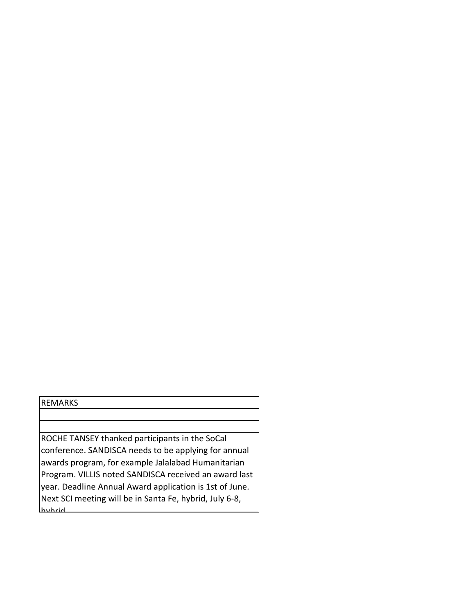## REMARKS

ROCHE TANSEY thanked participants in the SoCal conference. SANDISCA needs to be applying for annual awards program, for example Jalalabad Humanitarian Program. VILLIS noted SANDISCA received an award last year. Deadline Annual Award application is 1st of June. Next SCI meeting will be in Santa Fe, hybrid, July 6-8, hybrid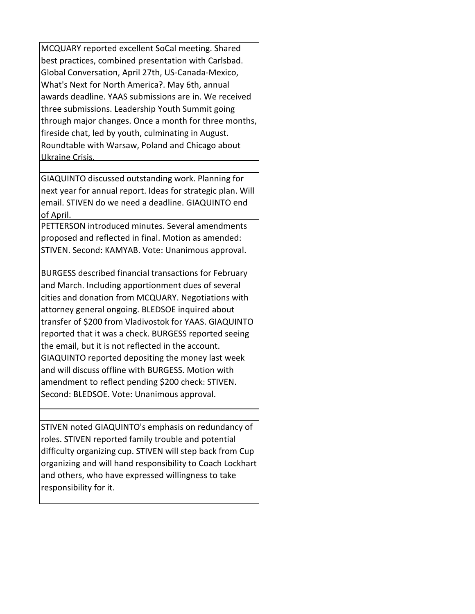MCQUARY reported excellent SoCal meeting. Shared best practices, combined presentation with Carlsbad. Global Conversation, April 27th, US-Canada-Mexico, What's Next for North America?. May 6th, annual awards deadline. YAAS submissions are in. We received three submissions. Leadership Youth Summit going through major changes. Once a month for three months, fireside chat, led by youth, culminating in August. Roundtable with Warsaw, Poland and Chicago about Ukraine Crisis.

GIAQUINTO discussed outstanding work. Planning for next year for annual report. Ideas for strategic plan. Will email. STIVEN do we need a deadline. GIAQUINTO end of April.

PETTERSON introduced minutes. Several amendments proposed and reflected in final. Motion as amended: STIVEN. Second: KAMYAB. Vote: Unanimous approval.

BURGESS described financial transactions for February and March. Including apportionment dues of several cities and donation from MCQUARY. Negotiations with attorney general ongoing. BLEDSOE inquired about transfer of \$200 from Vladivostok for YAAS. GIAQUINTO reported that it was a check. BURGESS reported seeing the email, but it is not reflected in the account. GIAQUINTO reported depositing the money last week and will discuss offline with BURGESS. Motion with amendment to reflect pending \$200 check: STIVEN. Second: BLEDSOE. Vote: Unanimous approval.

STIVEN noted GIAQUINTO's emphasis on redundancy of roles. STIVEN reported family trouble and potential difficulty organizing cup. STIVEN will step back from Cup organizing and will hand responsibility to Coach Lockhart and others, who have expressed willingness to take responsibility for it.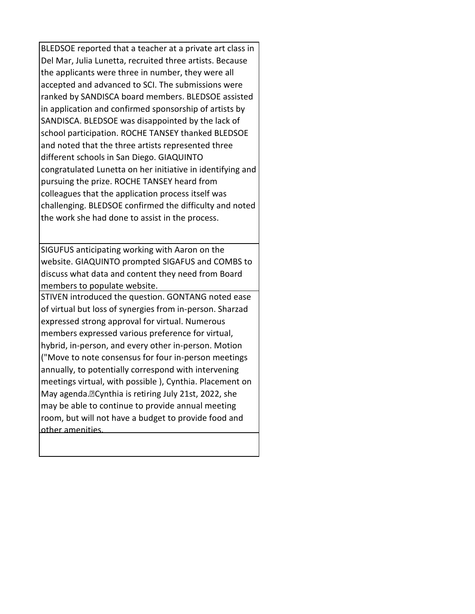BLEDSOE reported that a teacher at a private art class in Del Mar, Julia Lunetta, recruited three artists. Because the applicants were three in number, they were all accepted and advanced to SCI. The submissions were ranked by SANDISCA board members. BLEDSOE assisted in application and confirmed sponsorship of artists by SANDISCA. BLEDSOE was disappointed by the lack of school participation. ROCHE TANSEY thanked BLEDSOE and noted that the three artists represented three different schools in San Diego. GIAQUINTO congratulated Lunetta on her initiative in identifying and pursuing the prize. ROCHE TANSEY heard from colleagues that the application process itself was challenging. BLEDSOE confirmed the difficulty and noted the work she had done to assist in the process.

SIGUFUS anticipating working with Aaron on the website. GIAQUINTO prompted SIGAFUS and COMBS to discuss what data and content they need from Board members to populate website.

STIVEN introduced the question. GONTANG noted ease of virtual but loss of synergies from in-person. Sharzad expressed strong approval for virtual. Numerous members expressed various preference for virtual, hybrid, in-person, and every other in-person. Motion ("Move to note consensus for four in-person meetings annually, to potentially correspond with intervening meetings virtual, with possible ), Cynthia. Placement on May agenda. <sup>D</sup>Cynthia is retiring July 21st, 2022, she may be able to continue to provide annual meeting room, but will not have a budget to provide food and other amenities.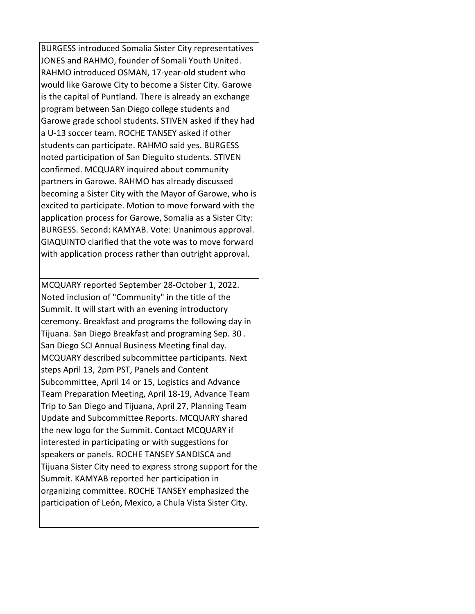BURGESS introduced Somalia Sister City representatives JONES and RAHMO, founder of Somali Youth United. RAHMO introduced OSMAN, 17-year-old student who would like Garowe City to become a Sister City. Garowe is the capital of Puntland. There is already an exchange program between San Diego college students and Garowe grade school students. STIVEN asked if they had a U-13 soccer team. ROCHE TANSEY asked if other students can participate. RAHMO said yes. BURGESS noted participation of San Dieguito students. STIVEN confirmed. MCQUARY inquired about community partners in Garowe. RAHMO has already discussed becoming a Sister City with the Mayor of Garowe, who is excited to participate. Motion to move forward with the application process for Garowe, Somalia as a Sister City: BURGESS. Second: KAMYAB. Vote: Unanimous approval. GIAQUINTO clarified that the vote was to move forward with application process rather than outright approval.

MCQUARY reported September 28-October 1, 2022. Noted inclusion of "Community" in the title of the Summit. It will start with an evening introductory ceremony. Breakfast and programs the following day in Tijuana. San Diego Breakfast and programing Sep. 30 . San Diego SCI Annual Business Meeting final day. MCQUARY described subcommittee participants. Next steps April 13, 2pm PST, Panels and Content Subcommittee, April 14 or 15, Logistics and Advance Team Preparation Meeting, April 18-19, Advance Team Trip to San Diego and Tijuana, April 27, Planning Team Update and Subcommittee Reports. MCQUARY shared the new logo for the Summit. Contact MCQUARY if interested in participating or with suggestions for speakers or panels. ROCHE TANSEY SANDISCA and Tijuana Sister City need to express strong support for the Summit. KAMYAB reported her participation in organizing committee. ROCHE TANSEY emphasized the participation of León, Mexico, a Chula Vista Sister City.